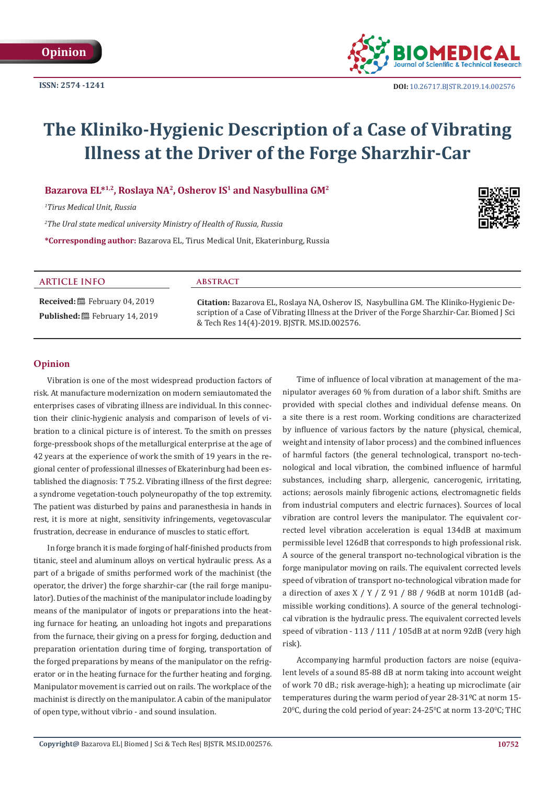

# **The Kliniko-Hygienic Description of a Case of Vibrating Illness at the Driver of the Forge Sharzhir-Car**

**Bazarova EL\*1,2, Roslaya NA2, Osherov IS1 and Nasybullina GM2**

*1 Tirus Medical Unit, Russia*

*2 The Ural state medical university Ministry of Health of Russia, Russia*

**\*Corresponding author:** Bazarova EL, Tirus Medical Unit, Ekaterinburg, Russia



### **ARTICLE INFO abstract**

**Received:** February 04, 2019 Published: **■**February 14, 2019

**Citation:** Bazarova EL, Roslaya NA, Osherov IS, Nasybullina GM. The Kliniko-Hygienic Description of a Case of Vibrating Illness at the Driver of the Forge Sharzhir-Car. Biomed J Sci & Tech Res 14(4)-2019. BJSTR. MS.ID.002576.

# **Opinion**

Vibration is one of the most widespread production factors of risk. At manufacture modernization on modern semiautomated the enterprises cases of vibrating illness are individual. In this connection their clinic-hygienic analysis and comparison of levels of vibration to a clinical picture is of interest. To the smith on presses forge-pressbook shops of the metallurgical enterprise at the age of 42 years at the experience of work the smith of 19 years in the regional center of professional illnesses of Ekaterinburg had been established the diagnosis: Т 75.2. Vibrating illness of the first degree: a syndrome vegetation-touch polyneuropathy of the top extremity. The patient was disturbed by pains and paranesthesia in hands in rest, it is more at night, sensitivity infringements, vegetovascular frustration, decrease in endurance of muscles to static effort.

In forge branch it is made forging of half-finished products from titanic, steel and aluminum alloys on vertical hydraulic press. As a part of a brigade of smiths performed work of the machinist (the operator, the driver) the forge sharzhir-car (the rail forge manipulator). Duties of the machinist of the manipulator include loading by means of the manipulator of ingots or preparations into the heating furnace for heating, an unloading hot ingots and preparations from the furnace, their giving on a press for forging, deduction and preparation orientation during time of forging, transportation of the forged preparations by means of the manipulator on the refrigerator or in the heating furnace for the further heating and forging. Manipulator movement is carried out on rails. The workplace of the machinist is directly on the manipulator. A cabin of the manipulator of open type, without vibrio - and sound insulation.

Time of influence of local vibration at management of the manipulator averages 60 % from duration of a labor shift. Smiths are provided with special clothes and individual defense means. On a site there is a rest room. Working conditions are characterized by influence of various factors by the nature (physical, chemical, weight and intensity of labor process) and the combined influences of harmful factors (the general technological, transport no-technological and local vibration, the combined influence of harmful substances, including sharp, allergenic, cancerogenic, irritating, actions; aerosols mainly fibrogenic actions, electromagnetic fields from industrial computers and electric furnaces). Sources of local vibration are control levers the manipulator. The equivalent corrected level vibration acceleration is equal 134dB at maximum permissible level 126dB that corresponds to high professional risk. A source of the general transport no-technological vibration is the forge manipulator moving on rails. The equivalent corrected levels speed of vibration of transport no-technological vibration made for a direction of axes Х / Y / Z 91 / 88 / 96dB at norm 101dB (admissible working conditions). A source of the general technological vibration is the hydraulic press. The equivalent corrected levels speed of vibration - 113 / 111 / 105dB at at norm 92dB (very high risk).

Accompanying harmful production factors are noise (equivalent levels of a sound 85-88 dB at norm taking into account weight of work 70 dB.; risk average-high); a heating up microclimate (air temperatures during the warm period of year 28-31ºС at norm 15-  $20^{\circ}$ C, during the cold period of year:  $24$ - $25^{\circ}$ C at norm  $13$ - $20^{\circ}$ C; THC